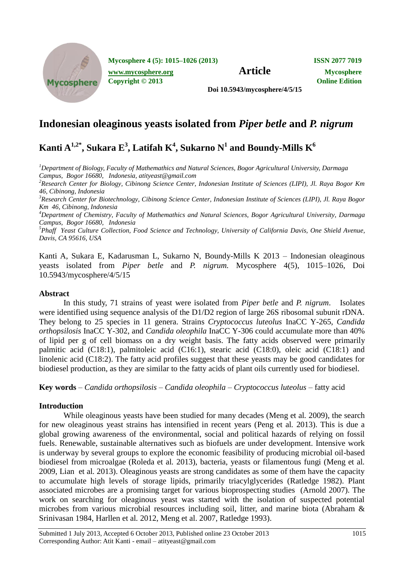

**Mycosphere 4 (5): 1015–1026 (2013) ISSN 2077 7019**

**Copyright © 2013 Online Edition**

**Doi 10.5943/mycosphere/4/5/15**

## **Indonesian oleaginous yeasts isolated from** *Piper betle* **and** *P. nigrum*

# $\mathbf{K}^{\mathbf{1},\mathbf{2}^*}, \mathbf{Sukara}\ \mathbf{E}^{\mathbf{3}}, \mathbf{Latifah}\ \mathbf{K}^{\mathbf{4}}, \mathbf{Sukarno}\ \mathbf{N}^{\mathbf{1}}$  and  $\mathbf{Boundary-Mills}\ \mathbf{K}^{\mathbf{6}}$

*<sup>1</sup>Department of Biology, Faculty of Mathemathics and Natural Sciences, Bogor Agricultural University, Darmaga Campus, Bogor 16680, Indonesia, atityeast@gmail.com*

*<sup>2</sup>Research Center for Biology, Cibinong Science Center, Indonesian Institute of Sciences (LIPI), Jl. Raya Bogor Km 46, Cibinong, Indonesia*

*<sup>3</sup>Research Center for Biotechnology, Cibinong Science Center, Indonesian Institute of Sciences (LIPI), Jl. Raya Bogor Km 46, Cibinong, Indonesia*

*<sup>4</sup>Department of Chemistry, Faculty of Mathemathics and Natural Sciences, Bogor Agricultural University, Darmaga Campus, Bogor 16680, Indonesia*

*<sup>5</sup>Phaff Yeast Culture Collection, Food Science and Technology, University of California Davis, One Shield Avenue, Davis, CA 95616, USA*

Kanti A, Sukara E, Kadarusman L, Sukarno N, Boundy-Mills K 2013 – Indonesian oleaginous yeasts isolated from *Piper betle* and *P. nigrum.* Mycosphere 4(5), 1015–1026, Doi 10.5943/mycosphere/4/5/15

### **Abstract**

In this study, 71 strains of yeast were isolated from *Piper betle* and *P. nigrum*. Isolates were identified using sequence analysis of the D1/D2 region of large 26S ribosomal subunit rDNA. They belong to 25 species in 11 genera. Strains *Cryptococcus luteolus* InaCC Y-265, *Candida orthopsilosis* InaCC Y-302, and *Candida oleophila* InaCC Y-306 could accumulate more than 40% of lipid per g of cell biomass on a dry weight basis. The fatty acids observed were primarily palmitic acid (C18:1), palmitoleic acid (C16:1), stearic acid (C18:0), oleic acid (C18:1) and linolenic acid (C18:2). The fatty acid profiles suggest that these yeasts may be good candidates for biodiesel production, as they are similar to the fatty acids of plant oils currently used for biodiesel.

**Key words** – *Candida orthopsilosis* – *Candida oleophila* – *Cryptococcus luteolus* – fatty acid

## **Introduction**

While oleaginous yeasts have been studied for many decades (Meng et al*.* 2009), the search for new oleaginous yeast strains has intensified in recent years (Peng et al*.* 2013). This is due a global growing awareness of the environmental, social and political hazards of relying on fossil fuels. Renewable, sustainable alternatives such as biofuels are under development. Intensive work is underway by several groups to explore the economic feasibility of producing microbial oil-based biodiesel from microalgae (Roleda et al*.* 2013), bacteria, yeasts or filamentous fungi (Meng et al*.* 2009, Lian et al*.* 2013). Oleaginous yeasts are strong candidates as some of them have the capacity to accumulate high levels of storage lipids, primarily triacylglycerides (Ratledge 1982). Plant associated microbes are a promising target for various bioprospecting studies (Arnold 2007). The work on searching for oleaginous yeast was started with the isolation of suspected potential microbes from various microbial resources including soil, litter, and marine biota (Abraham & Srinivasan 1984, Harllen et al*.* 2012, Meng et al. 2007, Ratledge 1993).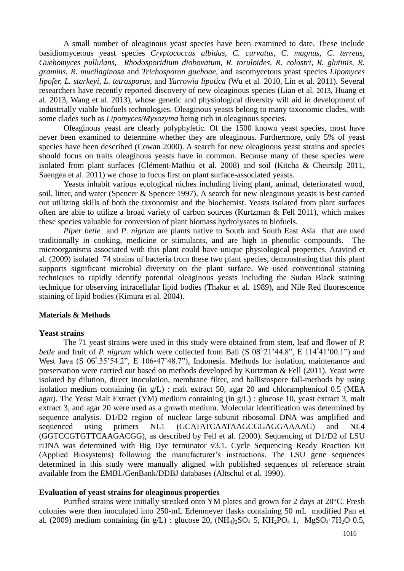A small number of oleaginous yeast species have been examined to date. These include basidiomycetous yeast species *Cryptococcus albidus, C. curvatus, C. magnus, C. terreus, Guehomyces pullulans, Rhodosporidium diobovatum, R. toruloides, R. colostri, R. glutinis, R. gramins, R. mucilaginosa* and *Trichosporon guehoae,* and ascomycetous yeast species *Lipomyces lipofer, L. starkeyi, L. tetrasporus*, and *Yarrowia lipotica* (Wu et al*.* 2010, Lin et al*.* 2011). Several researchers have recently reported discovery of new oleaginous species (Lian et al*.* 2013, Huang et al*.* 2013, Wang et al*.* 2013), whose genetic and physiological diversity will aid in development of industrially viable biofuels technologies. Oleaginous yeasts belong to many taxonomic clades, with some clades such as *Lipomyces/Myxozyma* being rich in oleaginous species.

Oleaginous yeast are clearly polyphyletic. Of the 1500 known yeast species, most have never been examined to determine whether they are oleaginous. Furthermore, only 5% of yeast species have been described (Cowan 2000). A search for new oleaginous yeast strains and species should focus on traits oleaginous yeasts have in common. Because many of these species were isolated from plant surfaces (Clément-Mathiu et al. 2008) and soil (Kitcha & Cheirsilp 2011, Saengea et al. 2011) we chose to focus first on plant surface-associated yeasts.

Yeasts inhabit various ecological niches including living plant, animal, deteriorated wood, soil, litter, and water (Spencer & Spencer 1997). A search for new oleaginous yeasts is best carried out utilizing skills of both the taxonomist and the biochemist. Yeasts isolated from plant surfaces often are able to utilize a broad variety of carbon sources (Kurtzman & Fell 2011), which makes these species valuable for conversion of plant biomass hydrolysates to biofuels.

*Piper betle* and *P*. *nigrum* are plants native to South and South East Asia that are used traditionally in cooking, medicine or stimulants, and are high in phenolic compounds. The microorganisms associated with this plant could have unique physiological properties. Aravind et al*.* (2009) isolated 74 strains of bacteria from these two plant species, demonstrating that this plant supports significant microbial diversity on the plant surface. We used conventional staining techniques to rapidly identify potential oleaginous yeasts including the Sudan Black staining technique for observing intracellular lipid bodies (Thakur et al*.* 1989), and Nile Red fluorescence staining of lipid bodies (Kimura et al*.* 2004).

#### **Materials & Methods**

#### **Yeast strains**

The 71 yeast strains were used in this study were obtained from stem, leaf and flower of *P. betle* and fruit of *P. nigrum* which were collected from Bali (S 08<sup>°</sup>21'44.8", E 114°41'00.1") and West Java (S 06°.35'54.2", E 106∘47'48.7"), Indonesia. Methods for isolation, maintenance and preservation were carried out based on methods developed by Kurtzman & Fell (2011). Yeast were isolated by dilution, direct inoculation, membrane filter, and ballistospore fall-methods by using isolation medium containing (in g/L) : malt extract 50, agar 20 and chloramphenicol 0.5 (MEA agar). The Yeast Malt Extract (YM) medium containing (in g/L) : glucose 10, yeast extract 3, malt extract 3, and agar 20 were used as a growth medium. Molecular identification was determined by sequence analysis. D1/D2 region of nuclear large-subunit ribosomal DNA was amplified and sequenced using primers NL1 (GCATATCAATAAGCGGAGGAAAAG) and NL4 (GGTCCGTGTTCAAGACGG), as described by Fell et al*.* (2000). Sequencing of D1/D2 of LSU rDNA was determined with Big Dye terminator v3.1. Cycle Sequencing Ready Reaction Kit (Applied Biosystems) following the manufacturer's instructions. The LSU gene sequences determined in this study were manually aligned with published sequences of reference strain available from the EMBL/GenBank/DDBJ databases (Altschul et al*.* 1990).

#### **Evaluation of yeast strains for oleaginous properties**

Purified strains were initially streaked onto YM plates and grown for 2 days at 28°C. Fresh colonies were then inoculated into 250-mL Erlenmeyer flasks containing 50 mL modified Pan et al. (2009) medium containing (in  $g/L$ ) : glucose 20,  $(NH_4)_2SO_4$  5,  $KH_2PO_4$  1,  $MgSO_4 \cdot 7H_2O$  0.5,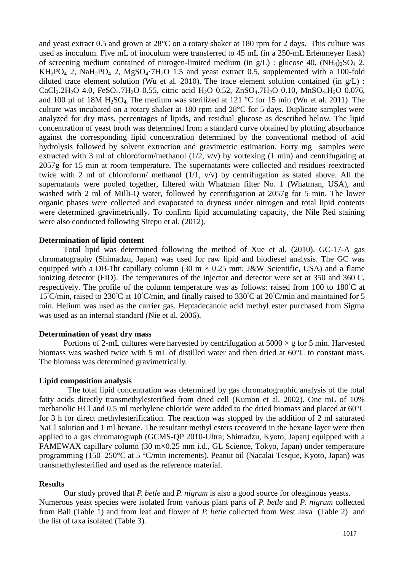and yeast extract 0.5 and grown at  $28^{\circ}$ C on a rotary shaker at 180 rpm for 2 days. This culture was used as inoculum. Five mL of inoculum were transferred to 45 mL (in a 250-mL Erlenmeyer flask) of screening medium contained of nitrogen-limited medium (in  $g/L$ ) : glucose 40, (NH<sub>4</sub>)<sub>2</sub>SO<sub>4</sub> 2,  $KH_2PO_4$  2, NaH<sub>2</sub>PO<sub>4</sub> 2, MgSO<sub>4</sub> $\cdot$ 7H<sub>2</sub>O 1.5 and yeast extract 0.5, supplemented with a 100-fold diluted trace element solution (Wu et al*.* 2010). The trace element solution contained (in g/L) : CaCl<sub>2</sub>.2H<sub>2</sub>O 4.0, FeSO<sub>4</sub>.7H<sub>2</sub>O 0.55, citric acid H<sub>2</sub>O 0.52, ZnSO<sub>4</sub>.7H<sub>2</sub>O 0.10, MnSO<sub>4</sub>.H<sub>2</sub>O 0.076, and 100 µl of 18M H<sub>2</sub>SO<sub>4</sub>. The medium was sterilized at 121 °C for 15 min (Wu et al. 2011). The culture was incubated on a rotary shaker at 180 rpm and 28°C for 5 days. Duplicate samples were analyzed for dry mass, percentages of lipids, and residual glucose as described below. The lipid concentration of yeast broth was determined from a standard curve obtained by plotting absorbance against the corresponding lipid concentration determined by the conventional method of acid hydrolysis followed by solvent extraction and gravimetric estimation. Forty mg samples were extracted with 3 ml of chloroform/methanol (1/2, v/v) by vortexing (1 min) and centrifugating at 2057g for 15 min at room temperature. The supernatants were collected and residues reextracted twice with 2 ml of chloroform/ methanol  $(1/1, v/v)$  by centrifugation as stated above. All the supernatants were pooled together, filtered with Whatman filter No. 1 (Whatman, USA), and washed with 2 ml of Milli-Q water, followed by centrifugation at 2057g for 5 min. The lower organic phases were collected and evaporated to dryness under nitrogen and total lipid contents were determined gravimetrically. To confirm lipid accumulating capacity, the Nile Red staining were also conducted following Sitepu et al*.* (2012).

#### **Determination of lipid content**

Total lipid was determined following the method of Xue et al*.* (2010). GC-17-A gas chromatography (Shimadzu, Japan) was used for raw lipid and biodiesel analysis. The GC was equipped with a DB-1ht capillary column (30 m  $\times$  0.25 mm; J&W Scientific, USA) and a flame ionizing detector (FID). The temperatures of the injector and detector were set at 350 and 360◦C, respectively. The profile of the column temperature was as follows: raised from 100 to 180◦C at 15◦C/min, raised to 230◦C at 10◦C/min, and finally raised to 330◦C at 20◦C/min and maintained for 5 min. Helium was used as the carrier gas. Heptadecanoic acid methyl ester purchased from Sigma was used as an internal standard (Nie et al*.* 2006).

#### **Determination of yeast dry mass**

Portions of 2-mL cultures were harvested by centrifugation at  $5000 \times g$  for 5 min. Harvested biomass was washed twice with 5 mL of distilled water and then dried at 60°C to constant mass. The biomass was determined gravimetrically.

#### **Lipid composition analysis**

The total lipid concentration was determined by gas chromatographic analysis of the total fatty acids directly transmethylesterified from dried cell (Kumon et al*.* 2002). One mL of 10% methanolic HCl and 0.5 ml methylene chloride were added to the dried biomass and placed at 60°C for 3 h for direct methylesterification. The reaction was stopped by the addition of 2 ml saturated NaCl solution and 1 ml hexane. The resultant methyl esters recovered in the hexane layer were then applied to a gas chromatograph (GCMS-QP 2010-Ultra; Shimadzu, Kyoto, Japan) equipped with a FAMEWAX capillary column (30 m×0.25 mm i.d., GL Science, Tokyo, Japan) under temperature programming (150–250°C at 5 °C/min increments). Peanut oil (Nacalai Tesque, Kyoto, Japan) was transmethylesterified and used as the reference material.

#### **Results**

Our study proved that *P. betle* and *P. nigrum* is also a good source for oleaginous yeasts. Numerous yeast species were isolated from various plant parts of *P. betle* and *P*. *nigrum* collected from Bali (Table 1) and from leaf and flower of *P. betle* collected from West Java (Table 2) and the list of taxa isolated (Table 3).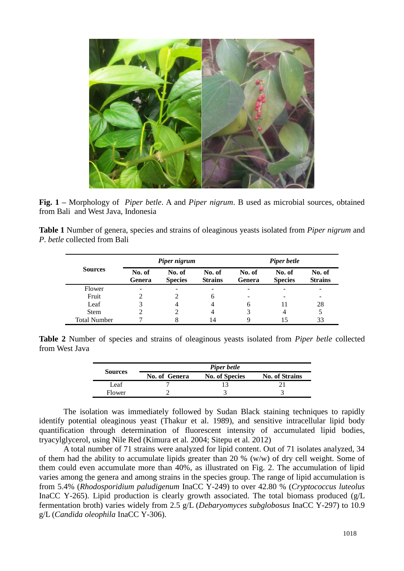

**Fig. 1 –** Morphology of *Piper betle*. A and *Piper nigrum*. B used as microbial sources, obtained from Bali and West Java, Indonesia

**Table 1** Number of genera, species and strains of oleaginous yeasts isolated from *Piper nigrum* and *P*. *betle* collected from Bali

|                     |                  | Piper nigrum             |                          | <b>Piper betle</b> |                          |                          |  |
|---------------------|------------------|--------------------------|--------------------------|--------------------|--------------------------|--------------------------|--|
| <b>Sources</b>      | No. of<br>Genera | No. of<br><b>Species</b> | No. of<br><b>Strains</b> | No. of<br>Genera   | No. of<br><b>Species</b> | No. of<br><b>Strains</b> |  |
| Flower              |                  |                          | -                        |                    |                          |                          |  |
| Fruit               |                  |                          | 6                        | -                  |                          | 28                       |  |
| Leaf                |                  |                          |                          | 6                  |                          |                          |  |
| Stem                |                  |                          |                          | 3                  | 4                        | 5                        |  |
| <b>Total Number</b> |                  | 8                        | 14                       |                    | 15                       | 33                       |  |

**Table 2** Number of species and strains of oleaginous yeasts isolated from *Piper betle* collected from West Java

| <b>Sources</b> | Piper betle   |                       |                       |  |  |  |  |
|----------------|---------------|-----------------------|-----------------------|--|--|--|--|
|                | No. of Genera | <b>No. of Species</b> | <b>No. of Strains</b> |  |  |  |  |
| Leaf           |               |                       |                       |  |  |  |  |
| Flower         |               |                       |                       |  |  |  |  |

The isolation was immediately followed by Sudan Black staining techniques to rapidly identify potential oleaginous yeast (Thakur et al*.* 1989), and sensitive intracellular lipid body quantification through determination of fluorescent intensity of accumulated lipid bodies, tryacylglycerol, using Nile Red (Kimura et al*.* 2004; Sitepu et al*.* 2012)

A total number of 71 strains were analyzed for lipid content. Out of 71 isolates analyzed, 34 of them had the ability to accumulate lipids greater than 20 % (w/w) of dry cell weight. Some of them could even accumulate more than 40%, as illustrated on Fig. 2. The accumulation of lipid varies among the genera and among strains in the species group. The range of lipid accumulation is from 5.4% (*Rhodosporidium paludigenum* InaCC Y-249) to over 42.80 % (*Cryptococcus luteolus* InaCC Y-265). Lipid production is clearly growth associated. The total biomass produced (g/L fermentation broth) varies widely from 2.5 g/L (*Debaryomyces subglobosus* InaCC Y-297) to 10.9 g/L (*Candida oleophila* InaCC Y-306).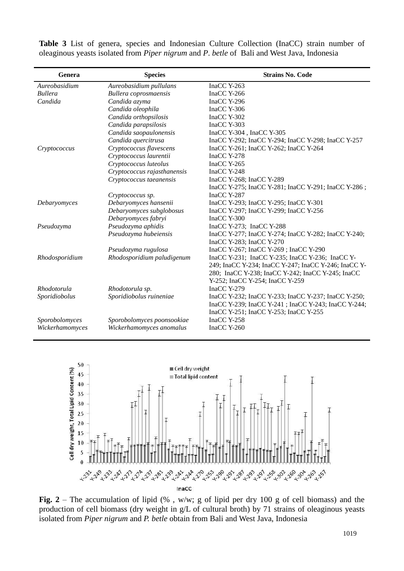| Genera          | <b>Species</b>              | <b>Strains No. Code</b>                              |  |  |  |  |
|-----------------|-----------------------------|------------------------------------------------------|--|--|--|--|
| Aureobasidium   | Aureobasidium pullulans     | InaCC Y-263                                          |  |  |  |  |
| <b>Bullera</b>  | Bullera coprosmaensis       | InaCC Y-266                                          |  |  |  |  |
| Candida         | Candida azyma               | InaCC Y-296                                          |  |  |  |  |
|                 | Candida oleophila           | InaCC Y-306                                          |  |  |  |  |
|                 | Candida orthopsilosis       | InaCC Y-302                                          |  |  |  |  |
|                 | Candida parapsilosis        | InaCC Y-303                                          |  |  |  |  |
|                 | Candida saopaulonensis      | InaCC Y-304, InaCC Y-305                             |  |  |  |  |
|                 | Candida quercitrusa         | InaCC Y-292; InaCC Y-294; InaCC Y-298; InaCC Y-257   |  |  |  |  |
| Cryptococcus    | Cryptococcus flavescens     | InaCC Y-261; InaCC Y-262; InaCC Y-264                |  |  |  |  |
|                 | Cryptococcus laurentii      | InaCC Y-278                                          |  |  |  |  |
|                 | Cryptococcus luteolus       | InaCC Y-265                                          |  |  |  |  |
|                 | Cryptococcus rajasthanensis | InaCC Y-248                                          |  |  |  |  |
|                 | Cryptococcus taeanensis     | InaCC Y-268; InaCC Y-289                             |  |  |  |  |
|                 |                             | InaCC Y-275; InaCC Y-281; InaCC Y-291; InaCC Y-286;  |  |  |  |  |
|                 | Cryptococcus sp.            | InaCC Y-287                                          |  |  |  |  |
| Debaryomyces    | Debaryomyces hansenii       | InaCC Y-293; InaCC Y-295; InaCC Y-301                |  |  |  |  |
|                 | Debaryomyces subglobosus    | InaCC Y-297; InaCC Y-299; InaCC Y-256                |  |  |  |  |
|                 | Debaryomyces fabryi         | $InaCC$ Y-300                                        |  |  |  |  |
| Pseudozyma      | Pseudozyma aphidis          | InaCC Y-273; InaCC Y-288                             |  |  |  |  |
|                 | Pseudozyma hubeiensis       | InaCC Y-277; InaCC Y-274; InaCC Y-282; InaCC Y-240;  |  |  |  |  |
|                 |                             | InaCC Y-283; InaCC Y-270                             |  |  |  |  |
|                 | Pseudozyma rugulosa         | InaCC Y-267; InaCC Y-269; InaCC Y-290                |  |  |  |  |
| Rhodosporidium  | Rhodosporidium paludigenum  | InaCC Y-231; InaCC Y-235; InaCC Y-236; InaCC Y-      |  |  |  |  |
|                 |                             | 249; InaCC Y-234; InaCC Y-247; InaCC Y-246; InaCC Y- |  |  |  |  |
|                 |                             | 280; InaCC Y-238; InaCC Y-242; InaCC Y-245; InaCC    |  |  |  |  |
|                 |                             | Y-252; InaCC Y-254; InaCC Y-259                      |  |  |  |  |
| Rhodotorula     | Rhodotorula sp.             | $InaCC$ Y-279                                        |  |  |  |  |
| Sporidiobolus   | Sporidiobolus ruineniae     | InaCC Y-232; InaCC Y-233; InaCC Y-237; InaCC Y-250;  |  |  |  |  |
|                 |                             | InaCC Y-239; InaCC Y-241; InaCC Y-243; InaCC Y-244;  |  |  |  |  |
|                 |                             | InaCC Y-251; InaCC Y-253; InaCC Y-255                |  |  |  |  |
| Sporobolomyces  | Sporobolomyces poonsookiae  | InaCC Y-258                                          |  |  |  |  |
| Wickerhamomyces | Wickerhamomyces anomalus    | InaCC Y-260                                          |  |  |  |  |
|                 |                             |                                                      |  |  |  |  |

**Table 3** List of genera, species and Indonesian Culture Collection (InaCC) strain number of oleaginous yeasts isolated from *Piper nigrum* and *P*. *betle* of Bali and West Java, Indonesia



**Fig. 2** – The accumulation of lipid (% , w/w; g of lipid per dry 100 g of cell biomass) and the production of cell biomass (dry weight in g/L of cultural broth) by 71 strains of oleaginous yeasts isolated from *Piper nigrum* and *P. betle* obtain from Bali and West Java, Indonesia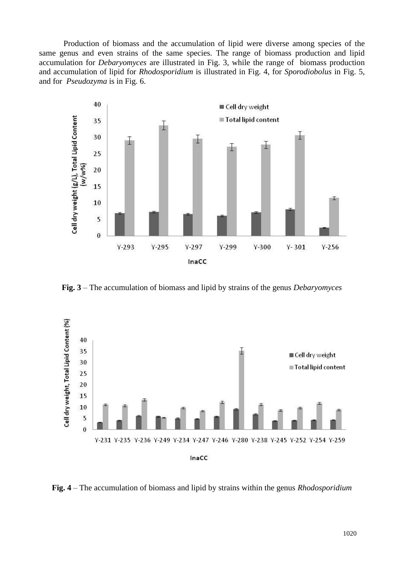Production of biomass and the accumulation of lipid were diverse among species of the same genus and even strains of the same species. The range of biomass production and lipid accumulation for *Debaryomyces* are illustrated in Fig. 3, while the range of biomass production and accumulation of lipid for *Rhodosporidium* is illustrated in Fig. 4, for *Sporodiobolus* in Fig. 5, and for *Pseudozyma* is in Fig. 6.



**Fig. 3** – The accumulation of biomass and lipid by strains of the genus *Debaryomyces*



**Fig. 4** – The accumulation of biomass and lipid by strains within the genus *Rhodosporidium*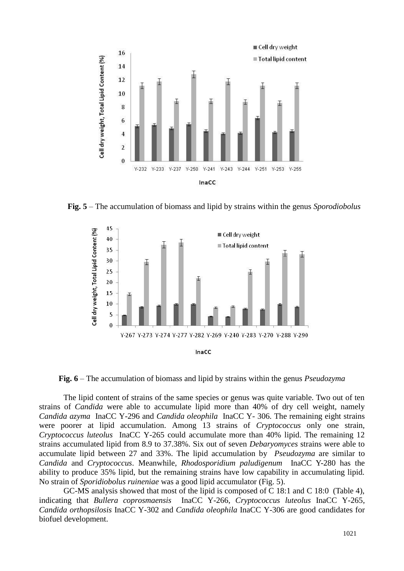

**Fig. 5** – The accumulation of biomass and lipid by strains within the genus *Sporodiobolus*



**Fig. 6** – The accumulation of biomass and lipid by strains within the genus *Pseudozyma*

The lipid content of strains of the same species or genus was quite variable. Two out of ten strains of *Candida* were able to accumulate lipid more than 40% of dry cell weight, namely *Candida azyma* InaCC Y-296 and *Candida oleophila* InaCC Y- 306. The remaining eight strains were poorer at lipid accumulation. Among 13 strains of *Cryptococcus* only one strain, *Cryptococcus luteolus* InaCC Y-265 could accumulate more than 40% lipid. The remaining 12 strains accumulated lipid from 8.9 to 37.38%. Six out of seven *Debaryomyces* strains were able to accumulate lipid between 27 and 33%. The lipid accumulation by *Pseudozyma* are similar to *Candida* and *Cryptococcus*. Meanwhile, *Rhodosporidium paludigenum* InaCC Y-280 has the ability to produce 35% lipid, but the remaining strains have low capability in accumulating lipid. No strain of *Sporidiobolus ruineniae* was a good lipid accumulator (Fig. 5).

GC-MS analysis showed that most of the lipid is composed of C 18:1 and C 18:0 (Table 4), indicating that *Bullera coprosmaensis* InaCC Y-266, *Cryptococcus luteolus* InaCC Y-265, *Candida orthopsilosis* InaCC Y-302 and *Candida oleophila* InaCC Y-306 are good candidates for biofuel development.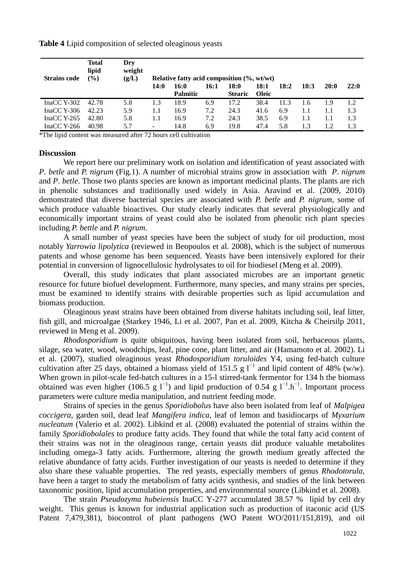**Table 4** Lipid composition of selected oleaginous yeasts

| <b>Strains code</b> | <b>Total</b><br>lipid<br>$\binom{0}{0}$ | Dry<br>weight<br>(g/L) | Relative fatty acid composition $(\%$ , wt/wt) |                 |      |                |              |      |      |      |      |
|---------------------|-----------------------------------------|------------------------|------------------------------------------------|-----------------|------|----------------|--------------|------|------|------|------|
|                     |                                         |                        | 14:0                                           | 16:0            | 16:1 | 18:0           | 18:1         | 18:2 | 18:3 | 20:0 | 22:0 |
|                     |                                         |                        |                                                | <b>Palmitic</b> |      | <b>Stearic</b> | <b>Oleic</b> |      |      |      |      |
| InaCC Y-302         | 42.78                                   | 5.8                    | 1.3                                            | 18.9            | 6.9  | 17.2           | 38.4         | 11.3 | 1.6  | 1.9  | 1.2  |
| InaCC Y-306         | 42.23                                   | 5.9                    | 1.1                                            | 16.9            | 7.2  | 24.3           | 41.6         | 6.9  | 1.1  |      | 1.3  |
| $InaCC$ Y-265       | 42.80                                   | 5.8                    | 1.1                                            | 16.9            | 7.2  | 24.3           | 38.5         | 6.9  | 1.1  | 1.1  | 1.3  |
| $InaCC$ Y-266       | 40.98                                   | 5.7                    | $\overline{\phantom{0}}$                       | 14.8            | 6.9  | 19.8           | 47.4         | 5.8  | 1.3  | 1.2  | 1.3  |

\*The lipid content was measured after 72 hours cell cultivation

#### **Discussion**

We report here our preliminary work on isolation and identification of yeast associated with *P*. *betle* and *P. nigrum* (Fig.1). A number of microbial strains grow in association with *P*. *nigrum* and *P*. *betle*. Those two plants species are known as important medicinal plants. The plants are rich in phenolic substances and traditionally used widely in Asia. Aravind et al. (2009, 2010) demonstrated that diverse bacterial species are associated with *P. betle* and *P. nigrum*, some of which produce valuable bioactives. Our study clearly indicates that several physiologically and economically important strains of yeast could also be isolated from phenolic rich plant species including *P. bettle* and *P. nigrum*.

A small number of yeast species have been the subject of study for oil production, most notably *Yarrowia lipolytica* (reviewed in Beopoulos et al. 2008), which is the subject of numerous patents and whose genome has been sequenced. Yeasts have been intensively explored for their potential in conversion of lignocellulosic hydrolysates to oil for biodiesel (Meng et al. 2009).

Overall, this study indicates that plant associated microbes are an important genetic resource for future biofuel development. Furthermore, many species, and many strains per species, must be examined to identify strains with desirable properties such as lipid accumulation and biomass production.

Oleaginous yeast strains have been obtained from diverse habitats including soil, leaf litter, fish gill, and microalgae (Starkey 1946, Li et al. 2007, Pan et al. 2009, Kitcha & Cheirsilp 2011, reviewed in Meng et al. 2009).

*Rhodosporidium* is quite ubiquitous, having been isolated from soil, herbaceous plants, silage, sea water, wood, woodchips, leaf, pine cone, plant litter, and air (Hamamoto et al. 2002). Li et al. (2007), studied oleaginous yeast *Rhodosporidium toruloides* Y4, using fed-batch culture cultivation after 25 days, obtained a biomass yield of 151.5 g  $l^{-1}$  and lipid content of 48% (w/w). When grown in pilot-scale fed-batch cultures in a 15-l stirred-tank fermentor for 134 h the biomass obtained was even higher (106.5 g  $l^{-1}$ ) and lipid production of 0.54 g  $l^{-1}h^{-1}$ . Important process parameters were culture media manipulation, and nutrient feeding mode.

Strains of species in the genus *Sporidiobolus* have also been isolated from leaf of *Malpigea coccigera*, garden soil, dead leaf *Mangifera indica*, leaf of lemon and basidiocarps of *Myxarium nucleatum* (Valerio et al. 2002). Libkind et al. (2008) evaluated the potential of strains within the family *Sporidiobolales* to produce fatty acids. They found that while the total fatty acid content of their strains was not in the oleaginous range, certain yeasts did produce valuable metabolites including omega-3 fatty acids. Furthermore, altering the growth medium greatly affected the relative abundance of fatty acids. Further investigation of our yeasts is needed to determine if they also share these valuable properties. The red yeasts, especially members of genus *Rhodotorula*, have been a target to study the metabolism of fatty acids synthesis, and studies of the link between taxonomic position, lipid accumulation properties, and environmental source (Libkind et al. 2008).

The strain *Pseudozyma hubeiensis* InaCC Y-277 accumulated 38.57 % lipid by cell dry weight. This genus is known for industrial application such as production of itaconic acid (US Patent 7,479,381), biocontrol of plant pathogens (WO Patent WO/2011/151,819), and oil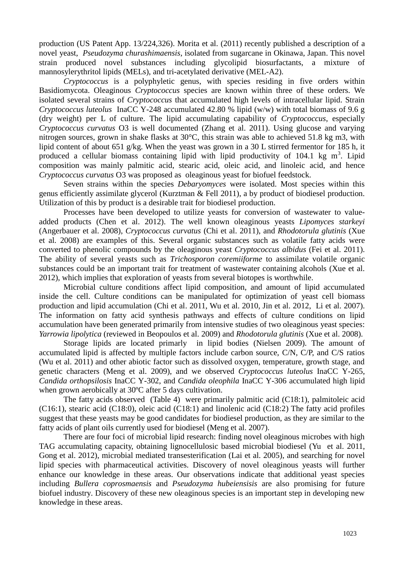production (US Patent App. 13/224,326). Morita et al. (2011) recently published a description of a novel yeast, *Pseudozyma churashimaensis*, isolated from sugarcane in Okinawa, Japan. This novel strain produced novel substances including glycolipid biosurfactants, a mixture of mannosylerythritol lipids (MELs), and tri-acetylated derivative (MEL-A2).

*Cryptococcus* is a polyphyletic genus, with species residing in five orders within Basidiomycota. Oleaginous *Cryptococcus* species are known within three of these orders. We isolated several strains of *Cryptococcus* that accumulated high levels of intracellular lipid. Strain *Cryptococcus luteolus* InaCC Y-248 accumulated 42.80 % lipid (w/w) with total biomass of 9.6 g (dry weight) per L of culture. The lipid accumulating capability of *Cryptococcus*, especially *Cryptococcus curvatus* O3 is well documented (Zhang et al. 2011). Using glucose and varying nitrogen sources, grown in shake flasks at 30°C, this strain was able to achieved 51.8 kg m3, with lipid content of about 651 g/kg. When the yeast was grown in a 30 L stirred fermentor for 185 h, it produced a cellular biomass containing lipid with lipid productivity of  $104.1 \text{ kg m}^3$ . Lipid composition was mainly palmitic acid, stearic acid, oleic acid, and linoleic acid, and hence *Cryptococcus curvatus* O3 was proposed as oleaginous yeast for biofuel feedstock.

Seven strains within the species *Debaryomyces* were isolated. Most species within this genus efficiently assimilate glycerol (Kurztman & Fell 2011), a by product of biodiesel production. Utilization of this by product is a desirable trait for biodiesel production.

Processes have been developed to utilize yeasts for conversion of wastewater to valueadded products (Chen et al. 2012). The well known oleaginous yeasts *Lipomyces starkeyi*  (Angerbauer et al. 2008), *Cryptococcus curvatus* (Chi et al. 2011), and *Rhodotorula glutinis* (Xue et al. 2008) are examples of this. Several organic substances such as volatile fatty acids were converted to phenolic compounds by the oleaginous yeast *Cryptococcus albidus* (Fei et al. 2011). The ability of several yeasts such as *Trichosporon coremiiforme* to assimilate volatile organic substances could be an important trait for treatment of wastewater containing alcohols (Xue et al. 2012), which implies that exploration of yeasts from several biotopes is worthwhile.

Microbial culture conditions affect lipid composition, and amount of lipid accumulated inside the cell. Culture conditions can be manipulated for optimization of yeast cell biomass production and lipid accumulation (Chi et al. 2011, Wu et al. 2010, Jin et al. 2012, Li et al. 2007). The information on fatty acid synthesis pathways and effects of culture conditions on lipid accumulation have been generated primarily from intensive studies of two oleaginous yeast species: *Yarrowia lipolytica* (reviewed in Beopoulos et al. 2009) and *Rhodotorula glutinis* (Xue et al. 2008).

Storage lipids are located primarly in lipid bodies (Nielsen 2009). The amount of accumulated lipid is affected by multiple factors include carbon source, C/N, C/P, and C/S ratios (Wu et al. 2011) and other abiotic factor such as dissolved oxygen, temperature, growth stage, and genetic characters (Meng et al. 2009), and we observed *Cryptococcus luteolus* InaCC Y-265, *Candida orthopsilosis* InaCC Y-302, and *Candida oleophila* InaCC Y-306 accumulated high lipid when grown aerobically at 30<sup>o</sup>C after 5 days cultivation.

The fatty acids observed (Table 4) were primarily palmitic acid (C18:1), palmitoleic acid (C16:1), stearic acid (C18:0), oleic acid (C18:1) and linolenic acid (C18:2) The fatty acid profiles suggest that these yeasts may be good candidates for biodiesel production, as they are similar to the fatty acids of plant oils currently used for biodiesel (Meng et al. 2007).

There are four foci of microbial lipid research: finding novel oleaginous microbes with high TAG accumulating capacity, obtaining lignocellulosic based microbial biodiesel (Yu et al. 2011, Gong et al. 2012), microbial mediated transesterification (Lai et al. 2005), and searching for novel lipid species with pharmaceutical activities. Discovery of novel oleaginous yeasts will further enhance our knowledge in these areas. Our observations indicate that additional yeast species including *Bullera coprosmaensis* and *Pseudozyma hubeiensisis* are also promising for future biofuel industry. Discovery of these new oleaginous species is an important step in developing new knowledge in these areas.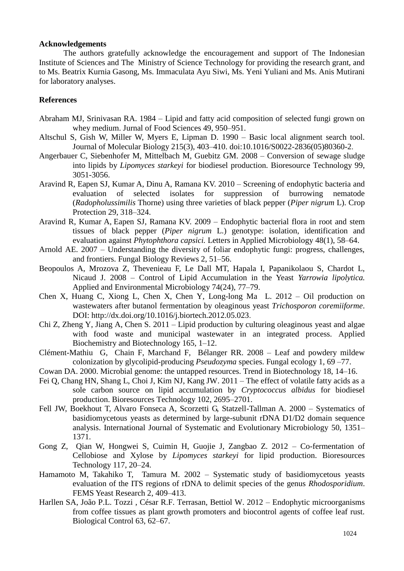#### **Acknowledgements**

The authors gratefully acknowledge the encouragement and support of The Indonesian Institute of Sciences and The Ministry of Science Technology for providing the research grant, and to Ms. Beatrix Kurnia Gasong, Ms. Immaculata Ayu Siwi, Ms. Yeni Yuliani and Ms. Anis Mutirani for laboratory analyses.

## **References**

- Abraham MJ, Srinivasan RA. 1984 Lipid and fatty acid composition of selected fungi grown on whey medium. Jurnal of Food Sciences 49, 950–951.
- Altschul S, Gish W, Miller W, Myers E, Lipman D. 1990 Basic local alignment search tool. Journal of Molecular Biology 215(3), 403–410. [doi:](http://en.wikipedia.org/wiki/Digital_object_identifier)[10.1016/S0022-2836\(05\)80360-2](http://dx.doi.org/10.1016%2FS0022-2836%2805%2980360-2).
- Angerbauer C, Siebenhofer M, Mittelbach M, Guebitz GM. 2008 Conversion of sewage sludge into lipids by *Lipomyces starkeyi* for biodiesel production. Bioresource Technology 99, 3051-3056.
- Aravind R, Eapen SJ, Kumar A, Dinu A, Ramana KV. 2010 Screening of endophytic bacteria and evaluation of selected isolates for suppression of burrowing nematode (*Radopholussimilis* Thorne) using three varieties of black pepper (*Piper nigrum* L). Crop Protection 29, 318–324.
- Aravind R, Kumar A, Eapen SJ, Ramana KV. 2009 Endophytic bacterial flora in root and stem tissues of black pepper (*Piper nigrum* L.) genotype: isolation, identification and evaluation against *Phytophthora capsici.* Letters in Applied Microbiology [48\(1\),](http://onlinelibrary.wiley.com/doi/10.1111/lam.2009.48.issue-1/issuetoc) 58–64.
- Arnold AE. 2007 Understanding the diversity of foliar endophytic fungi: progress, challenges, and frontiers. Fungal Biology Reviews 2, 51–56.
- Beopoulos A, Mrozova Z, Thevenieau F, Le Dall MT, Hapala I, Papanikolaou S, Chardot L, Nicaud J. 2008 – Control of Lipid Accumulation in the Yeast *Yarrowia lipolytica.* Applied and Environmental Microbiology 74(24), 77–79.
- Chen X, Huang C, Xiong L, Chen X, Chen Y, Long-long Ma L. 2012 Oil production on wastewaters after butanol fermentation by oleaginous yeast *Trichosporon coremiiforme*. DOI:<http://dx.doi.org/10.1016/j.biortech.2012.05.023>.
- Chi Z, Zheng Y, Jiang A, Chen S. 2011 Lipid production by culturing oleaginous yeast and algae with food waste and municipal wastewater in an integrated process. Applied Biochemistry and Biotechnology 165, 1–12.
- Clément-Mathiu G, Chain F, Marchand F, Bélanger RR. 2008 Leaf and powdery mildew colonization by glycolipid-producing *Pseudozyma* species. Fungal ecology 1, 69 –77.
- Cowan DA. 2000. Microbial genome: the untapped resources. Trend in Biotechnology 18, 14–16.
- Fei Q, Chang HN, Shang L, Choi J, Kim NJ, Kang JW. 2011 The effect of volatile fatty acids as a sole carbon source on lipid accumulation by *Cryptococcus albidus* for biodiesel production. Bioresources Technology 102, 2695–2701.
- Fell JW, Boekhout T, Alvaro Fonseca A, Scorzetti G, Statzell-Tallman A. 2000 Systematics of basidiomycetous yeasts as determined by large-subunit rDNA D1/D2 domain sequence analysis. International Journal of Systematic and Evolutionary Microbiology 50, 1351– 1371.
- Gong Z, Qian W, Hongwei S, Cuimin H, Guojie J, Zangbao Z. 2012 Co-fermentation of Cellobiose and Xylose by *Lipomyces starkeyi* for lipid production. Bioresources Technology 117, 20–24.
- Hamamoto M, Takahiko T, Tamura M. 2002 Systematic study of basidiomycetous yeasts evaluation of the ITS regions of rDNA to delimit species of the genus *Rhodosporidium*. FEMS Yeast Research 2, 409–413.
- Harllen SA, João P.L. Tozzi , César R.F. Terrasan, Bettiol W. 2012 Endophytic microorganisms from coffee tissues as plant growth promoters and biocontrol agents of coffee leaf rust. Biological Control 63, 62–67.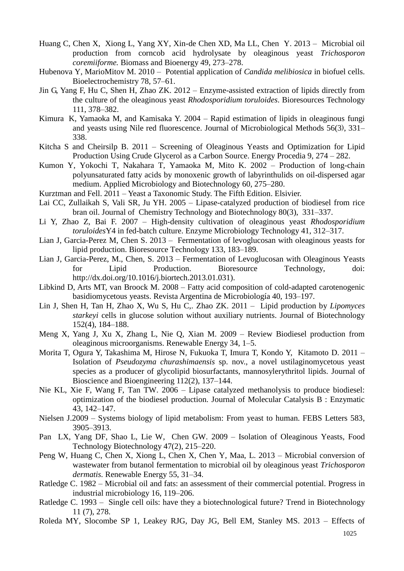- Huang C, Chen X, Xiong L, Yang XY, Xin-de Chen XD, Ma LL, Chen Y. 2013 Microbial oil production from corncob acid hydrolysate by oleaginous yeast *Trichosporon coremiiforme.* Biomass and Bioenergy 49, 273–278.
- Hubenova Y, MarioMitov M. 2010 Potential application of *Candida melibiosica* in biofuel cells. Bioelectrochemistry 78, 57–61.
- Jin G, Yang F, Hu C, Shen H, Zhao ZK. 2012 [Enzyme-assisted extraction of lipids directly from](https://vpn.lib.ucdavis.edu/science/article/pii/,DanaInfo=www.sciencedirect.com+S0960852412001976)  [the culture of the oleaginous yeast](https://vpn.lib.ucdavis.edu/science/article/pii/,DanaInfo=www.sciencedirect.com+S0960852412001976) *Rhodosporidium toruloides*. Bioresources Technology 111, 378–382.
- Kimura [K,](http://www.sciencedirect.com/science/article/pii/S0167701203003099#COR1#COR1) Yamaoka M, and Kamisaka Y. 2004 Rapid estimation of lipids in oleaginous fungi and yeasts using Nile red fluorescence. [Journal of Microbiological Methods](http://www.sciencedirect.com/science/journal/01677012) [56\(3](http://www.sciencedirect.com/science/journal/01677012)), 331– 338.
- Kitcha S and Cheirsilp B. 2011 Screening of Oleaginous Yeasts and Optimization for Lipid Production Using Crude Glycerol as a Carbon Source. Energy Procedia 9, 274 – 282.
- Kumon Y, Yokochi T, Nakahara T, Yamaoka M, Mito K. 2002 Production of long-chain polyunsaturated fatty acids by monoxenic growth of labyrinthulids on oil-dispersed agar medium. Applied Microbiology and Biotechnology 60, 275–280.
- Kurztman and Fell. 2011 Yeast a Taxonomic Study. The Fifth Edition. Elsivier.
- Lai CC, Zullaikah S, Vali SR, Ju YH. 2005 Lipase-catalyzed production of biodiesel from rice bran oil. Journal of Chemistry Technology and Biotechnology 80(3), 331–337.
- Li Y, Zhao Z, Bai F. 2007 High-density cultivation of oleaginous yeast *Rhodosporidium toruloides*Y4 in fed-batch culture. Enzyme Microbiology Technology 41, 312–317.
- Lian J, Garcia-Perez M, Chen S. 2013 Fermentation of levoglucosan with oleaginous yeasts for lipid production. Bioresource Technology 133, 183–189.
- Lian J, Garcia-Perez, M., Chen, S. 2013 Fermentation of Levoglucosan with Oleaginous Yeasts for Lipid Production. Bioresource Technology, doi: [http://dx.doi.org/10.1016/j.biortech.2013.01.031\)](http://dx.doi.org/10.1016/j.biortech.2013.01.031).
- Libkind D, Arts MT, van Broock M. 2008 Fatty acid composition of cold-adapted carotenogenic basidiomycetous yeasts. Revista Argentina de Microbiología 40, 193–197.
- Lin J, Shen H, Tan H, Zhao X, Wu S, Hu C,. Zhao ZK. 2011 [Lipid production by](https://vpn.lib.ucdavis.edu/science/article/pii/,DanaInfo=www.sciencedirect.com+S0168165611001118) *Lipomyces starkeyi* [cells in glucose solution without auxiliary nutrients.](https://vpn.lib.ucdavis.edu/science/article/pii/,DanaInfo=www.sciencedirect.com+S0168165611001118) Journal of Biotechnology 152(4), 184–188.
- Meng X, Yang J, Xu X, Zhang L, Nie Q, Xian M. 2009 Review Biodiesel production from oleaginous microorganisms. Renewable Energy 34, 1–5.
- Morita T, Ogura Y, Takashima M, Hirose N, Fukuoka T, Imura T, Kondo Y, Kitamoto D. 2011 Isolation of *Pseudozyma churashimaensis* sp. nov., a novel ustilaginomycetous yeast species as a producer of glycolipid biosurfactants, mannosylerythritol lipids. Journal of Bioscience and Bioengineering 112(2), 137–144.
- Nie KL, Xie F, Wang F, Tan TW. 2006 Lipase catalyzed methanolysis to produce biodiesel: optimization of the biodiesel production. Journal of Molecular Catalysis B : Enzymatic 43, 142–147.
- Nielsen J.2009 Systems biology of lipid metabolism: From yeast to human. FEBS Letters 583, 3905–3913.
- Pan LX, Yang DF, Shao L, Lie W, Chen GW. 2009 Isolation of Oleaginous Yeasts, Food Technology Biotechnology 47(2), 215–220.
- Peng W, Huang C, Chen X, Xiong L, Chen X, Chen Y, Maa, L. 2013 Microbial conversion of wastewater from butanol fermentation to microbial oil by oleaginous yeast *Trichosporon dermatis.* Renewable Energy 55, 31–34.
- Ratledge C. 1982 Microbial oil and fats: an assessment of their commercial potential. Progress in industrial microbiology 16, 119–206.
- Ratledge C. 1993 Single cell oils: have they a biotechnological future? Trend in Biotechnology 11 (7), 278.
- Roleda MY, Slocombe SP 1, Leakey RJG, Day JG, Bell EM, Stanley MS. 2013 Effects of